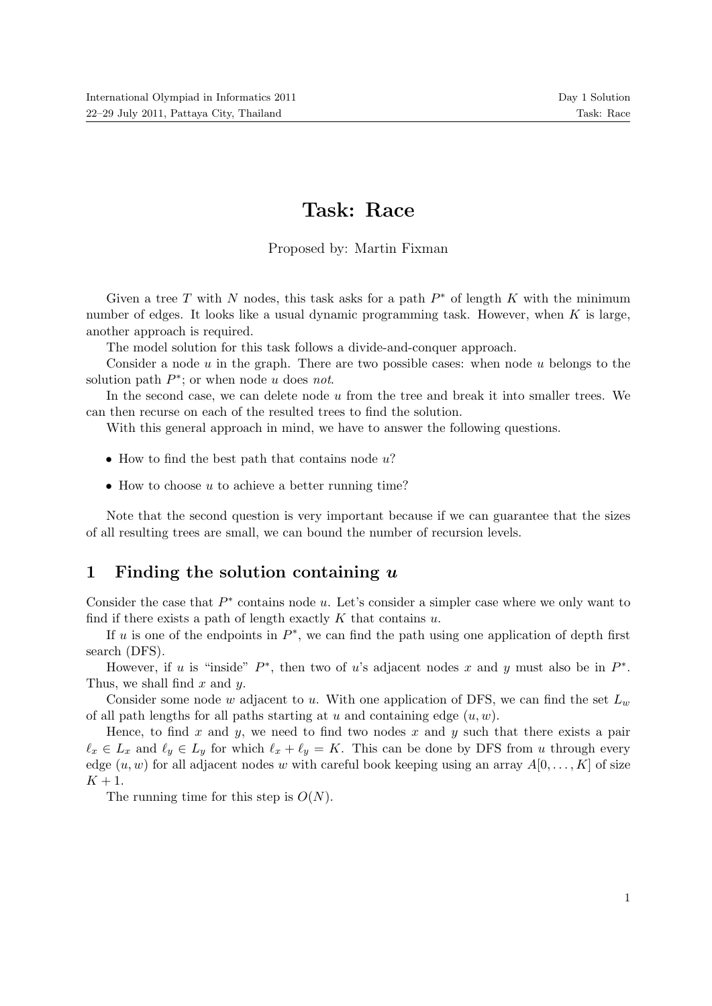# Task: Race

Proposed by: Martin Fixman

Given a tree T with N nodes, this task asks for a path  $P^*$  of length K with the minimum number of edges. It looks like a usual dynamic programming task. However, when  $K$  is large, another approach is required.

The model solution for this task follows a divide-and-conquer approach.

Consider a node  $u$  in the graph. There are two possible cases: when node  $u$  belongs to the solution path  $P^*$ ; or when node u does not.

In the second case, we can delete node  $u$  from the tree and break it into smaller trees. We can then recurse on each of the resulted trees to find the solution.

With this general approach in mind, we have to answer the following questions.

- How to find the best path that contains node  $u$ ?
- How to choose  $u$  to achieve a better running time?

Note that the second question is very important because if we can guarantee that the sizes of all resulting trees are small, we can bound the number of recursion levels.

### 1 Finding the solution containing  $u$

Consider the case that  $P^*$  contains node u. Let's consider a simpler case where we only want to find if there exists a path of length exactly  $K$  that contains  $u$ .

If u is one of the endpoints in  $P^*$ , we can find the path using one application of depth first search (DFS).

However, if u is "inside"  $P^*$ , then two of u's adjacent nodes x and y must also be in  $P^*$ . Thus, we shall find  $x$  and  $y$ .

Consider some node w adjacent to u. With one application of DFS, we can find the set  $L_w$ of all path lengths for all paths starting at u and containing edge  $(u, w)$ .

Hence, to find x and y, we need to find two nodes x and y such that there exists a pair  $\ell_x \in L_x$  and  $\ell_y \in L_y$  for which  $\ell_x + \ell_y = K$ . This can be done by DFS from u through every edge  $(u, w)$  for all adjacent nodes w with careful book keeping using an array  $A[0, \ldots, K]$  of size  $K+1$ .

The running time for this step is  $O(N)$ .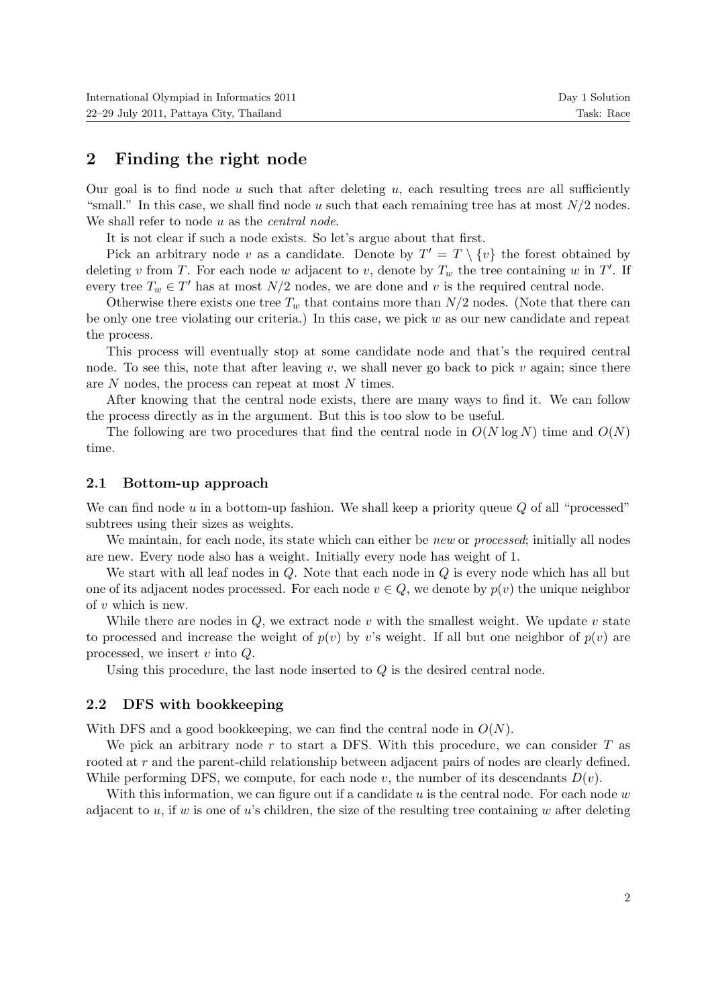### 2 Finding the right node

Our goal is to find node  $u$  such that after deleting  $u$ , each resulting trees are all sufficiently "small." In this case, we shall find node u such that each remaining tree has at most  $N/2$  nodes. We shall refer to node  $u$  as the *central node*.

It is not clear if such a node exists. So let's argue about that first.

Pick an arbitrary node v as a candidate. Denote by  $T' = T \setminus \{v\}$  the forest obtained by deleting v from T. For each node w adjacent to v, denote by  $T_w$  the tree containing w in T'. If every tree  $T_w \in T'$  has at most  $N/2$  nodes, we are done and v is the required central node.

Otherwise there exists one tree  $T_w$  that contains more than  $N/2$  nodes. (Note that there can be only one tree violating our criteria.) In this case, we pick  $w$  as our new candidate and repeat the process.

This process will eventually stop at some candidate node and that's the required central node. To see this, note that after leaving v, we shall never go back to pick v again; since there are N nodes, the process can repeat at most N times.

After knowing that the central node exists, there are many ways to find it. We can follow the process directly as in the argument. But this is too slow to be useful.

The following are two procedures that find the central node in  $O(N \log N)$  time and  $O(N)$ time.

#### 2.1 Bottom-up approach

We can find node  $u$  in a bottom-up fashion. We shall keep a priority queue  $Q$  of all "processed" subtrees using their sizes as weights.

We maintain, for each node, its state which can either be new or processed; initially all nodes are new. Every node also has a weight. Initially every node has weight of 1.

We start with all leaf nodes in  $Q$ . Note that each node in  $Q$  is every node which has all but one of its adjacent nodes processed. For each node  $v \in Q$ , we denote by  $p(v)$  the unique neighbor of v which is new.

While there are nodes in  $Q$ , we extract node v with the smallest weight. We update v state to processed and increase the weight of  $p(v)$  by v's weight. If all but one neighbor of  $p(v)$  are processed, we insert  $v$  into  $Q$ .

Using this procedure, the last node inserted to  $Q$  is the desired central node.

#### 2.2 DFS with bookkeeping

With DFS and a good bookkeeping, we can find the central node in  $O(N)$ .

We pick an arbitrary node r to start a DFS. With this procedure, we can consider  $T$  as rooted at r and the parent-child relationship between adjacent pairs of nodes are clearly defined. While performing DFS, we compute, for each node v, the number of its descendants  $D(v)$ .

With this information, we can figure out if a candidate u is the central node. For each node  $w$ adjacent to u, if w is one of u's children, the size of the resulting tree containing w after deleting